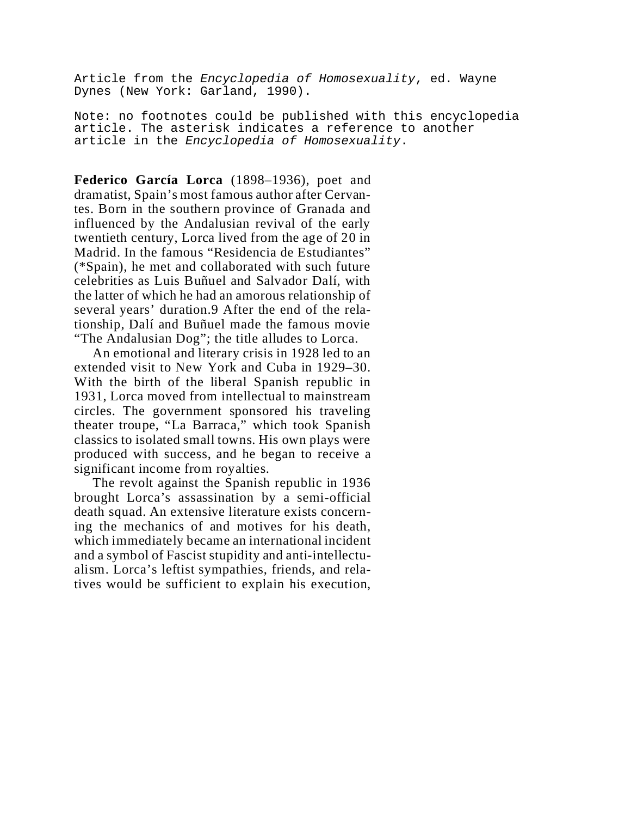Article from the *Encyclopedia of Homosexuality*, ed. Wayne Dynes (New York: Garland, 1990).

Note: no footnotes could be published with this encyclopedia article. The asterisk indicates a reference to another article in the *Encyclopedia of Homosexuality*.

**Federico García Lorca** (1898–1936), poet and dramatist, Spain's most famous author after Cervantes. Born in the southern province of Granada and influenced by the Andalusian revival of the early twentieth century, Lorca lived from the age of 20 in Madrid. In the famous "Residencia de Estudiantes" (\*Spain), he met and collaborated with such future celebrities as Luis Buñuel and Salvador Dalí, with the latter of which he had an amorous relationship of several years' duration.9 After the end of the relationship, Dalí and Buñuel made the famous movie "The Andalusian Dog"; the title alludes to Lorca.

An emotional and literary crisis in 1928 led to an extended visit to New York and Cuba in 1929–30. With the birth of the liberal Spanish republic in 1931, Lorca moved from intellectual to mainstream circles. The government sponsored his traveling theater troupe, "La Barraca," which took Spanish classics to isolated small towns. His own plays were produced with success, and he began to receive a significant income from royalties.

The revolt against the Spanish republic in 1936 brought Lorca's assassination by a semi-official death squad. An extensive literature exists concerning the mechanics of and motives for his death, which immediately became an international incident and a symbol of Fascist stupidity and anti-intellectualism. Lorca's leftist sympathies, friends, and relatives would be sufficient to explain his execution,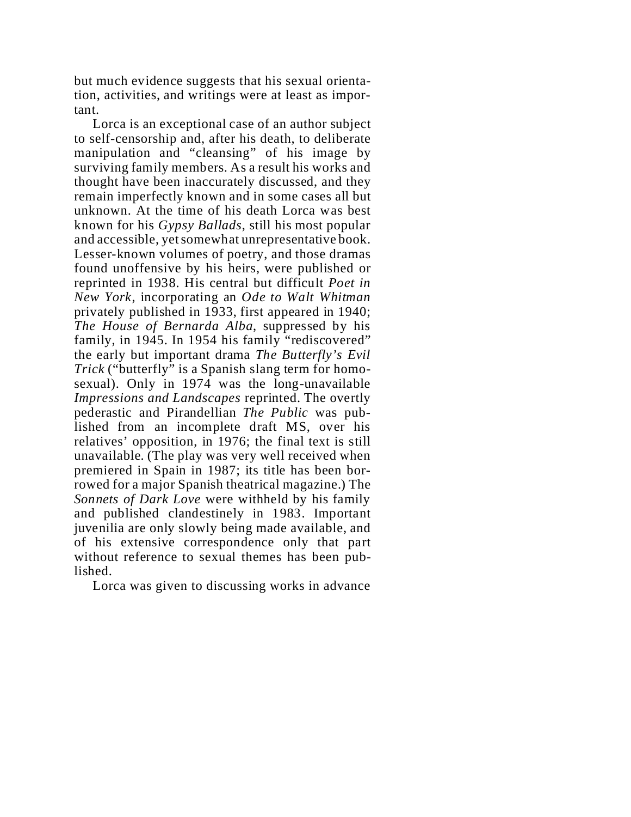but much evidence suggests that his sexual orientation, activities, and writings were at least as important.

Lorca is an exceptional case of an author subject to self-censorship and, after his death, to deliberate manipulation and "cleansing" of his image by surviving family members. As a result his works and thought have been inaccurately discussed, and they remain imperfectly known and in some cases all but unknown. At the time of his death Lorca was best known for his *Gypsy Ballads*, still his most popular and accessible, yet somewhat unrepresentative book. Lesser-known volumes of poetry, and those dramas found unoffensive by his heirs, were published or reprinted in 1938. His central but difficult *Poet in New York*, incorporating an *Ode to Walt Whitman* privately published in 1933, first appeared in 1940; *The House of Bernarda Alba*, suppressed by his family, in 1945. In 1954 his family "rediscovered" the early but important drama *The Butterfly's Evil Trick* ("butterfly" is a Spanish slang term for homosexual). Only in 1974 was the long-unavailable *Impressions and Landscapes* reprinted. The overtly pederastic and Pirandellian *The Public* was published from an incomplete draft MS, over his relatives' opposition, in 1976; the final text is still unavailable. (The play was very well received when premiered in Spain in 1987; its title has been borrowed for a major Spanish theatrical magazine.) The *Sonnets of Dark Love* were withheld by his family and published clandestinely in 1983. Important juvenilia are only slowly being made available, and of his extensive correspondence only that part without reference to sexual themes has been published.

Lorca was given to discussing works in advance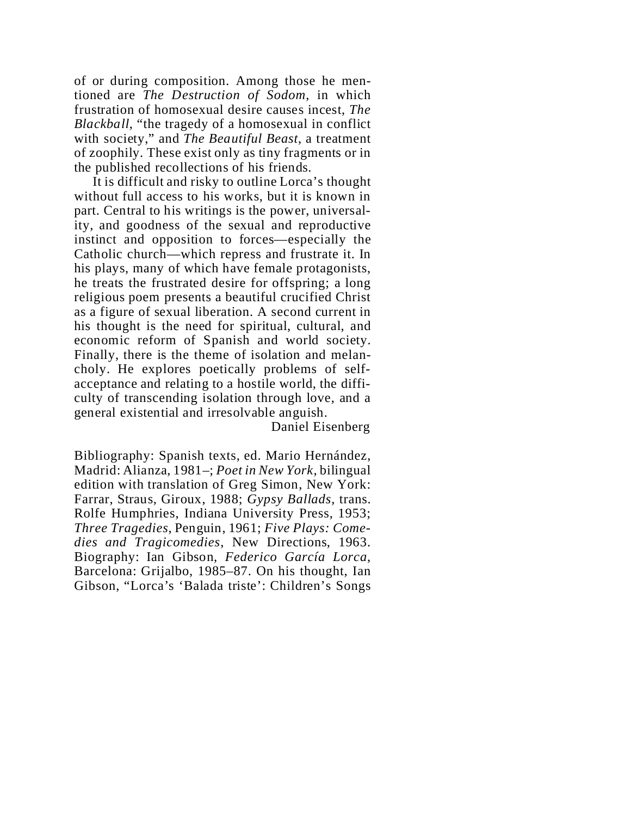of or during composition. Among those he mentioned are *The Destruction of Sodom*, in which frustration of homosexual desire causes incest, *The Blackball*, "the tragedy of a homosexual in conflict with society," and *The Beautiful Beast*, a treatment of zoophily. These exist only as tiny fragments or in the published recollections of his friends.

It is difficult and risky to outline Lorca's thought without full access to his works, but it is known in part. Central to his writings is the power, universality, and goodness of the sexual and reproductive instinct and opposition to forces—especially the Catholic church—which repress and frustrate it. In his plays, many of which have female protagonists, he treats the frustrated desire for offspring; a long religious poem presents a beautiful crucified Christ as a figure of sexual liberation. A second current in his thought is the need for spiritual, cultural, and economic reform of Spanish and world society. Finally, there is the theme of isolation and melancholy. He explores poetically problems of selfacceptance and relating to a hostile world, the difficulty of transcending isolation through love, and a general existential and irresolvable anguish.

Daniel Eisenberg

Bibliography: Spanish texts, ed. Mario Hernández, Madrid: Alianza, 1981–; *Poet in New York*, bilingual edition with translation of Greg Simon, New York: Farrar, Straus, Giroux, 1988; *Gypsy Ballads*, trans. Rolfe Humphries, Indiana University Press, 1953; *Three Tragedies*, Penguin, 1961; *Five Plays: Comedies and Tragicomedies*, New Directions, 1963. Biography: Ian Gibson, *Federico García Lorca*, Barcelona: Grijalbo, 1985–87. On his thought, Ian Gibson, "Lorca's 'Balada triste': Children's Songs